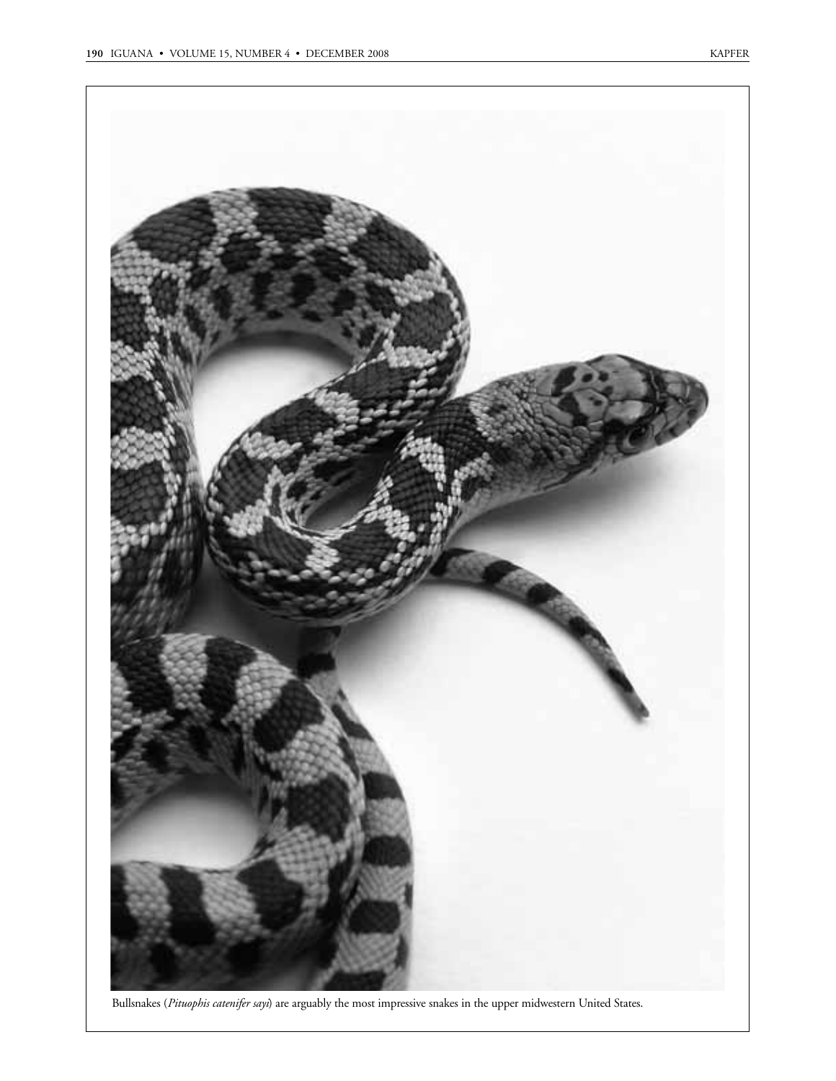

Bullsnakes (*Pituophis catenifer sayi*) are arguably the most impressive snakes in the upper midwestern United States.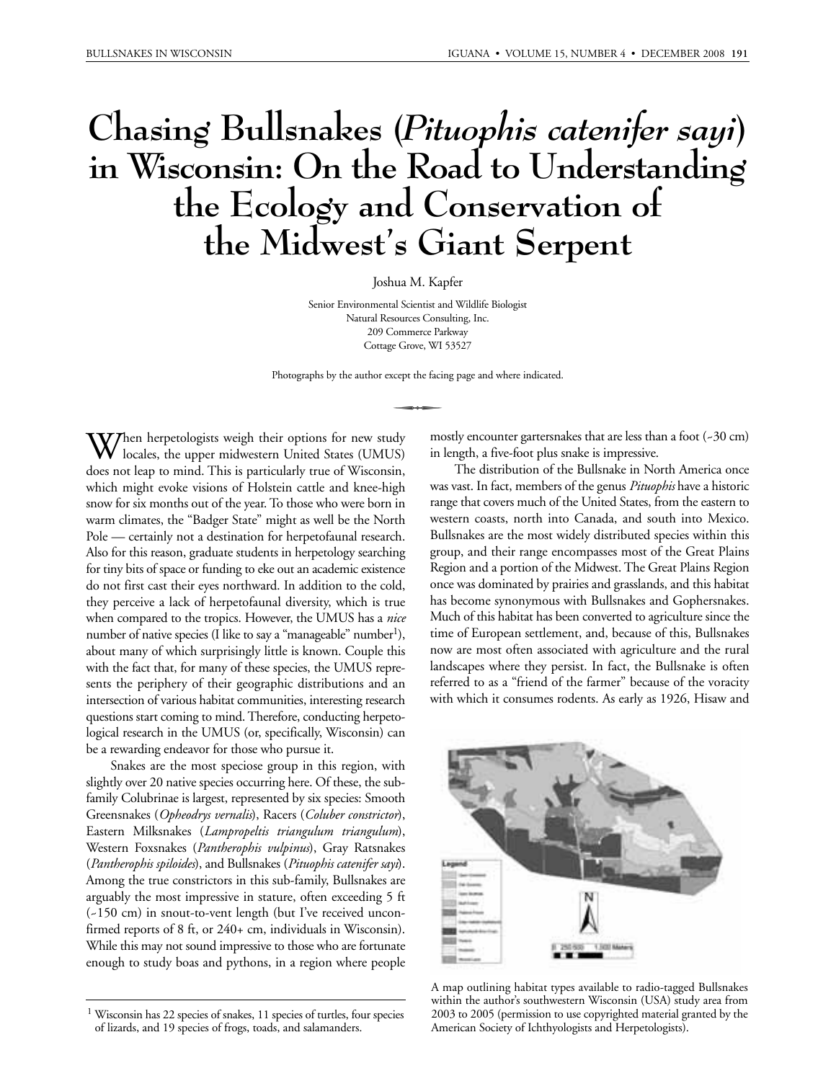# **Chasing Bullsnakes (***Pituophis catenifer sayi***) in Wisconsin: On the Road to Understanding the Ecology and Conservation of the Midwest's Giant Serpent**

Joshua M. Kapfer

Senior Environmental Scientist and Wildlife Biologist Natural Resources Consulting, Inc. 209 Commerce Parkway Cottage Grove, WI 53527

Photographs by the author except the facing page and where indicated.

When herpetologists weigh their options for new study<br>locales, the upper midwestern United States (UMUS) locales, the upper midwestern United States (UMUS) does not leap to mind. This is particularly true of Wisconsin, which might evoke visions of Holstein cattle and knee-high snow for six months out of the year. To those who were born in warm climates, the "Badger State" might as well be the North Pole — certainly not a destination for herpetofaunal research. Also for this reason, graduate students in herpetology searching for tiny bits of space or funding to eke out an academic existence do not first cast their eyes northward. In addition to the cold, they perceive a lack of herpetofaunal diversity, which is true when compared to the tropics. However, the UMUS has a *nice* number of native species (I like to say a "manageable" number<sup>1</sup>), about many of which surprisingly little is known. Couple this with the fact that, for many of these species, the UMUS represents the periphery of their geographic distributions and an intersection of various habitat communities, interesting research questions start coming to mind. Therefore, conducting herpetological research in the UMUS (or, specifically, Wisconsin) can be a rewarding endeavor for those who pursue it.

Snakes are the most speciose group in this region, with slightly over 20 native species occurring here. Of these, the subfamily Colubrinae is largest, represented by six species: Smooth Greensnakes (*Opheodrys vernalis*), Racers (*Coluber constrictor*), Eastern Milksnakes (*Lampropeltis triangulum triangulum*), Western Foxsnakes (*Pantherophis vulpinus*), Gray Ratsnakes (*Pantherophis spiloides*), and Bullsnakes (*Pituophis catenifer sayi*). Among the true constrictors in this sub-family, Bullsnakes are arguably the most impressive in stature, often exceeding 5 ft (~150 cm) in snout-to-vent length (but I've received unconfirmed reports of 8 ft, or 240+ cm, individuals in Wisconsin). While this may not sound impressive to those who are fortunate enough to study boas and pythons, in a region where people mostly encounter gartersnakes that are less than a foot  $(-30 \text{ cm})$ in length, a five-foot plus snake is impressive.

The distribution of the Bullsnake in North America once was vast. In fact, members of the genus *Pituophis* have a historic range that covers much of the United States, from the eastern to western coasts, north into Canada, and south into Mexico. Bullsnakes are the most widely distributed species within this group, and their range encompasses most of the Great Plains Region and a portion of the Midwest. The Great Plains Region once was dominated by prairies and grasslands, and this habitat has become synonymous with Bullsnakes and Gophersnakes. Much of this habitat has been converted to agriculture since the time of European settlement, and, because of this, Bullsnakes now are most often associated with agriculture and the rural landscapes where they persist. In fact, the Bullsnake is often referred to as a "friend of the farmer" because of the voracity with which it consumes rodents. As early as 1926, Hisaw and



A map outlining habitat types available to radio-tagged Bullsnakes within the author's southwestern Wisconsin (USA) study area from 2003 to 2005 (permission to use copyrighted material granted by the American Society of Ichthyologists and Herpetologists).

<sup>1</sup> Wisconsin has 22 species of snakes, 11 species of turtles, four species of lizards, and 19 species of frogs, toads, and salamanders.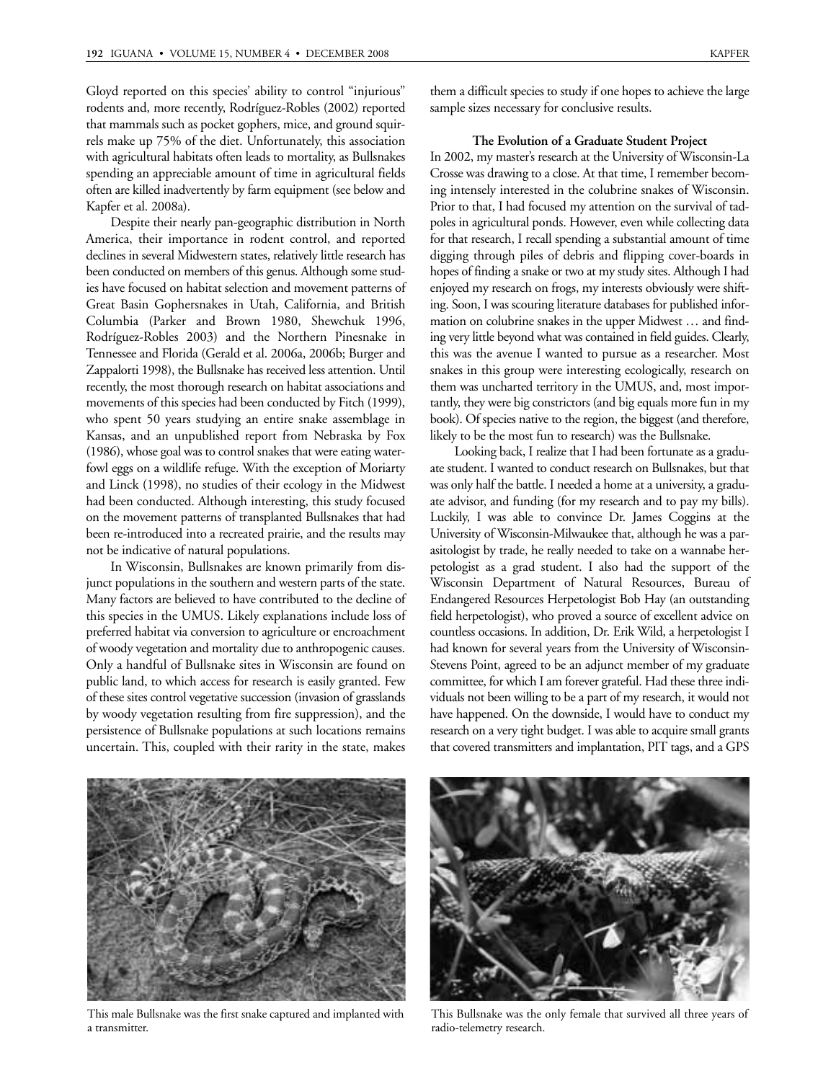Gloyd reported on this species' ability to control "injurious" rodents and, more recently, Rodríguez-Robles (2002) reported that mammals such as pocket gophers, mice, and ground squirrels make up 75% of the diet. Unfortunately, this association with agricultural habitats often leads to mortality, as Bullsnakes spending an appreciable amount of time in agricultural fields often are killed inadvertently by farm equipment (see below and Kapfer et al. 2008a).

Despite their nearly pan-geographic distribution in North America, their importance in rodent control, and reported declines in several Midwestern states, relatively little research has been conducted on members of this genus. Although some studies have focused on habitat selection and movement patterns of Great Basin Gophersnakes in Utah, California, and British Columbia (Parker and Brown 1980, Shewchuk 1996, Rodríguez-Robles 2003) and the Northern Pinesnake in Tennessee and Florida (Gerald et al. 2006a, 2006b; Burger and Zappalorti 1998), the Bullsnake has received less attention. Until recently, the most thorough research on habitat associations and movements of this species had been conducted by Fitch (1999), who spent 50 years studying an entire snake assemblage in Kansas, and an unpublished report from Nebraska by Fox (1986), whose goal was to control snakes that were eating waterfowl eggs on a wildlife refuge. With the exception of Moriarty and Linck (1998), no studies of their ecology in the Midwest had been conducted. Although interesting, this study focused on the movement patterns of transplanted Bullsnakes that had been re-introduced into a recreated prairie, and the results may not be indicative of natural populations.

In Wisconsin, Bullsnakes are known primarily from disjunct populations in the southern and western parts of the state. Many factors are believed to have contributed to the decline of this species in the UMUS. Likely explanations include loss of preferred habitat via conversion to agriculture or encroachment of woody vegetation and mortality due to anthropogenic causes. Only a handful of Bullsnake sites in Wisconsin are found on public land, to which access for research is easily granted. Few of these sites control vegetative succession (invasion of grasslands by woody vegetation resulting from fire suppression), and the persistence of Bullsnake populations at such locations remains uncertain. This, coupled with their rarity in the state, makes

them a difficult species to study if one hopes to achieve the large sample sizes necessary for conclusive results.

# **The Evolution of a Graduate Student Project**

In 2002, my master's research at the University of Wisconsin-La Crosse was drawing to a close. At that time, I remember becoming intensely interested in the colubrine snakes of Wisconsin. Prior to that, I had focused my attention on the survival of tadpoles in agricultural ponds. However, even while collecting data for that research, I recall spending a substantial amount of time digging through piles of debris and flipping cover-boards in hopes of finding a snake or two at my study sites. Although I had enjoyed my research on frogs, my interests obviously were shifting. Soon, I was scouring literature databases for published information on colubrine snakes in the upper Midwest … and finding very little beyond what was contained in field guides. Clearly, this was the avenue I wanted to pursue as a researcher. Most snakes in this group were interesting ecologically, research on them was uncharted territory in the UMUS, and, most importantly, they were big constrictors (and big equals more fun in my book). Of species native to the region, the biggest (and therefore, likely to be the most fun to research) was the Bullsnake.

Looking back, I realize that I had been fortunate as a graduate student. I wanted to conduct research on Bullsnakes, but that was only half the battle. I needed a home at a university, a graduate advisor, and funding (for my research and to pay my bills). Luckily, I was able to convince Dr. James Coggins at the University of Wisconsin-Milwaukee that, although he was a parasitologist by trade, he really needed to take on a wannabe herpetologist as a grad student. I also had the support of the Wisconsin Department of Natural Resources, Bureau of Endangered Resources Herpetologist Bob Hay (an outstanding field herpetologist), who proved a source of excellent advice on countless occasions. In addition, Dr. Erik Wild, a herpetologist I had known for several years from the University of Wisconsin-Stevens Point, agreed to be an adjunct member of my graduate committee, for which I am forever grateful. Had these three individuals not been willing to be a part of my research, it would not have happened. On the downside, I would have to conduct my research on a very tight budget. I was able to acquire small grants that covered transmitters and implantation, PIT tags, and a GPS



This male Bullsnake was the first snake captured and implanted with a transmitter.



This Bullsnake was the only female that survived all three years of radio-telemetry research.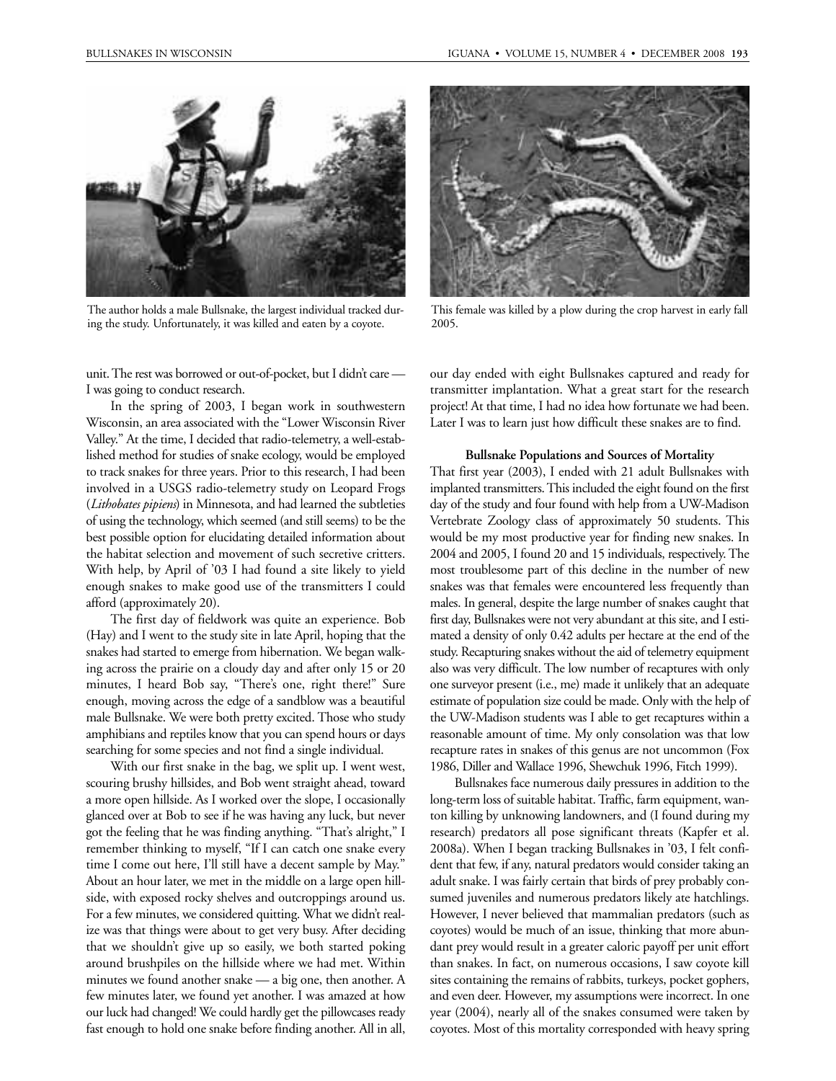

The author holds a male Bullsnake, the largest individual tracked during the study. Unfortunately, it was killed and eaten by a coyote.

unit. The rest was borrowed or out-of-pocket, but I didn't care — I was going to conduct research.

In the spring of 2003, I began work in southwestern Wisconsin, an area associated with the "Lower Wisconsin River Valley." At the time, I decided that radio-telemetry, a well-established method for studies of snake ecology, would be employed to track snakes for three years. Prior to this research, I had been involved in a USGS radio-telemetry study on Leopard Frogs (*Lithobates pipiens*) in Minnesota, and had learned the subtleties of using the technology, which seemed (and still seems) to be the best possible option for elucidating detailed information about the habitat selection and movement of such secretive critters. With help, by April of '03 I had found a site likely to yield enough snakes to make good use of the transmitters I could afford (approximately 20).

The first day of fieldwork was quite an experience. Bob (Hay) and I went to the study site in late April, hoping that the snakes had started to emerge from hibernation. We began walking across the prairie on a cloudy day and after only 15 or 20 minutes, I heard Bob say, "There's one, right there!" Sure enough, moving across the edge of a sandblow was a beautiful male Bullsnake. We were both pretty excited. Those who study amphibians and reptiles know that you can spend hours or days searching for some species and not find a single individual.

With our first snake in the bag, we split up. I went west, scouring brushy hillsides, and Bob went straight ahead, toward a more open hillside. As I worked over the slope, I occasionally glanced over at Bob to see if he was having any luck, but never got the feeling that he was finding anything. "That's alright," I remember thinking to myself, "If I can catch one snake every time I come out here, I'll still have a decent sample by May." About an hour later, we met in the middle on a large open hillside, with exposed rocky shelves and outcroppings around us. For a few minutes, we considered quitting. What we didn't realize was that things were about to get very busy. After deciding that we shouldn't give up so easily, we both started poking around brushpiles on the hillside where we had met. Within minutes we found another snake — a big one, then another. A few minutes later, we found yet another. I was amazed at how our luck had changed! We could hardly get the pillowcases ready fast enough to hold one snake before finding another. All in all,



This female was killed by a plow during the crop harvest in early fall 2005.

our day ended with eight Bullsnakes captured and ready for transmitter implantation. What a great start for the research project! At that time, I had no idea how fortunate we had been. Later I was to learn just how difficult these snakes are to find.

#### **Bullsnake Populations and Sources of Mortality**

That first year (2003), I ended with 21 adult Bullsnakes with implanted transmitters. This included the eight found on the first day of the study and four found with help from a UW-Madison Vertebrate Zoology class of approximately 50 students. This would be my most productive year for finding new snakes. In 2004 and 2005, I found 20 and 15 individuals, respectively. The most troublesome part of this decline in the number of new snakes was that females were encountered less frequently than males. In general, despite the large number of snakes caught that first day, Bullsnakes were not very abundant at this site, and I estimated a density of only 0.42 adults per hectare at the end of the study. Recapturing snakes without the aid of telemetry equipment also was very difficult. The low number of recaptures with only one surveyor present (i.e., me) made it unlikely that an adequate estimate of population size could be made. Only with the help of the UW-Madison students was I able to get recaptures within a reasonable amount of time. My only consolation was that low recapture rates in snakes of this genus are not uncommon (Fox 1986, Diller and Wallace 1996, Shewchuk 1996, Fitch 1999).

Bullsnakes face numerous daily pressures in addition to the long-term loss of suitable habitat. Traffic, farm equipment, wanton killing by unknowing landowners, and (I found during my research) predators all pose significant threats (Kapfer et al. 2008a). When I began tracking Bullsnakes in '03, I felt confident that few, if any, natural predators would consider taking an adult snake. I was fairly certain that birds of prey probably consumed juveniles and numerous predators likely ate hatchlings. However, I never believed that mammalian predators (such as coyotes) would be much of an issue, thinking that more abundant prey would result in a greater caloric payoff per unit effort than snakes. In fact, on numerous occasions, I saw coyote kill sites containing the remains of rabbits, turkeys, pocket gophers, and even deer. However, my assumptions were incorrect. In one year (2004), nearly all of the snakes consumed were taken by coyotes. Most of this mortality corresponded with heavy spring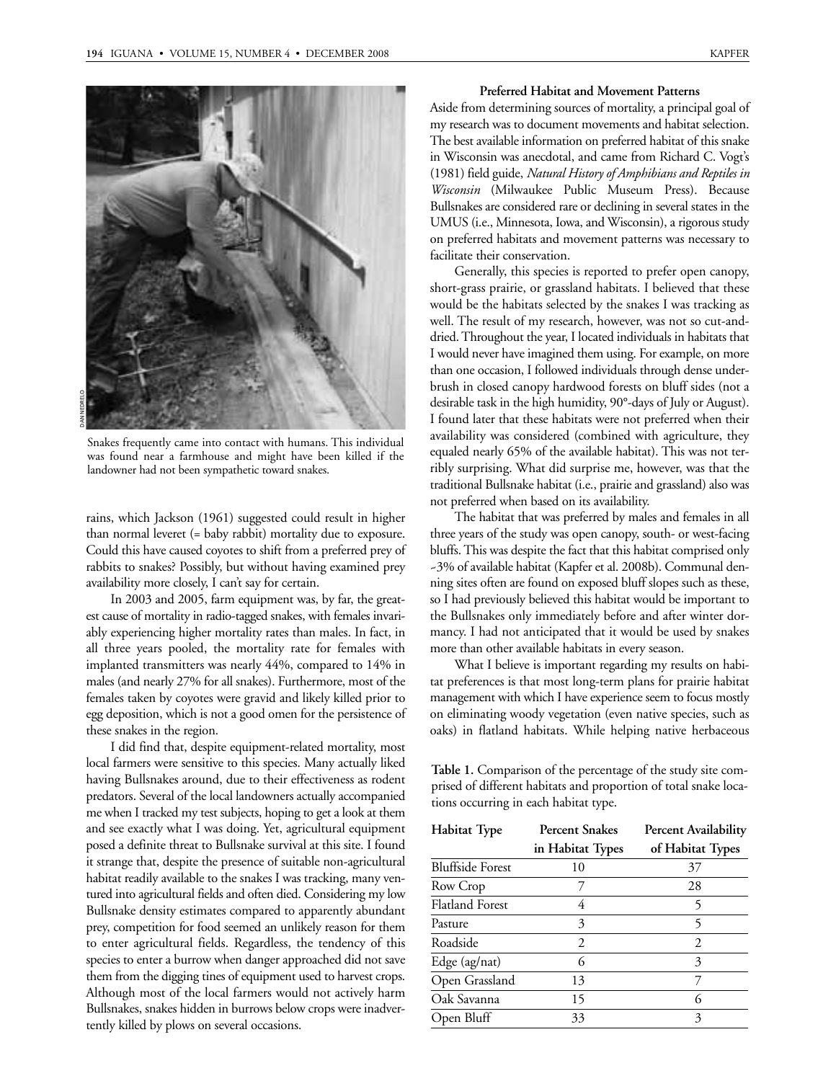

Snakes frequently came into contact with humans. This individual was found near a farmhouse and might have been killed if the landowner had not been sympathetic toward snakes.

rains, which Jackson (1961) suggested could result in higher than normal leveret (= baby rabbit) mortality due to exposure. Could this have caused coyotes to shift from a preferred prey of rabbits to snakes? Possibly, but without having examined prey availability more closely, I can't say for certain.

In 2003 and 2005, farm equipment was, by far, the greatest cause of mortality in radio-tagged snakes, with females invariably experiencing higher mortality rates than males. In fact, in all three years pooled, the mortality rate for females with implanted transmitters was nearly 44%, compared to 14% in males (and nearly 27% for all snakes). Furthermore, most of the females taken by coyotes were gravid and likely killed prior to egg deposition, which is not a good omen for the persistence of these snakes in the region.

I did find that, despite equipment-related mortality, most local farmers were sensitive to this species. Many actually liked having Bullsnakes around, due to their effectiveness as rodent predators. Several of the local landowners actually accompanied me when I tracked my test subjects, hoping to get a look at them and see exactly what I was doing. Yet, agricultural equipment posed a definite threat to Bullsnake survival at this site. I found it strange that, despite the presence of suitable non-agricultural habitat readily available to the snakes I was tracking, many ventured into agricultural fields and often died. Considering my low Bullsnake density estimates compared to apparently abundant prey, competition for food seemed an unlikely reason for them to enter agricultural fields. Regardless, the tendency of this species to enter a burrow when danger approached did not save them from the digging tines of equipment used to harvest crops. Although most of the local farmers would not actively harm Bullsnakes, snakes hidden in burrows below crops were inadvertently killed by plows on several occasions.

## **Preferred Habitat and Movement Patterns**

Aside from determining sources of mortality, a principal goal of my research was to document movements and habitat selection. The best available information on preferred habitat of this snake in Wisconsin was anecdotal, and came from Richard C. Vogt's (1981) field guide, *Natural History of Amphibians and Reptiles in Wisconsin* (Milwaukee Public Museum Press). Because Bullsnakes are considered rare or declining in several states in the UMUS (i.e., Minnesota, Iowa, and Wisconsin), a rigorous study on preferred habitats and movement patterns was necessary to facilitate their conservation.

Generally, this species is reported to prefer open canopy, short-grass prairie, or grassland habitats. I believed that these would be the habitats selected by the snakes I was tracking as well. The result of my research, however, was not so cut-anddried. Throughout the year, I located individuals in habitats that I would never have imagined them using. For example, on more than one occasion, I followed individuals through dense underbrush in closed canopy hardwood forests on bluff sides (not a desirable task in the high humidity, 90°-days of July or August). I found later that these habitats were not preferred when their availability was considered (combined with agriculture, they equaled nearly 65% of the available habitat). This was not terribly surprising. What did surprise me, however, was that the traditional Bullsnake habitat (i.e., prairie and grassland) also was not preferred when based on its availability.

The habitat that was preferred by males and females in all three years of the study was open canopy, south- or west-facing bluffs. This was despite the fact that this habitat comprised only ~3% of available habitat (Kapfer et al. 2008b). Communal denning sites often are found on exposed bluff slopes such as these, so I had previously believed this habitat would be important to the Bullsnakes only immediately before and after winter dormancy. I had not anticipated that it would be used by snakes more than other available habitats in every season.

What I believe is important regarding my results on habitat preferences is that most long-term plans for prairie habitat management with which I have experience seem to focus mostly on eliminating woody vegetation (even native species, such as oaks) in flatland habitats. While helping native herbaceous

**Table 1.** Comparison of the percentage of the study site comprised of different habitats and proportion of total snake locations occurring in each habitat type.

| <b>Habitat Type</b>     | <b>Percent Snakes</b> | <b>Percent Availability</b> |
|-------------------------|-----------------------|-----------------------------|
|                         | in Habitat Types      | of Habitat Types            |
| <b>Bluffside Forest</b> | 10                    | 37                          |
| Row Crop                |                       | 28                          |
| <b>Flatland Forest</b>  | 4                     | 5                           |
| Pasture                 | 3                     | 5                           |
| Roadside                | 2                     | $\mathcal{D}_{\mathcal{L}}$ |
| Edge (ag/nat)           | 6                     | 3                           |
| Open Grassland          | 13                    |                             |
| Oak Savanna             | 15                    | 6                           |
| Open Bluff              | 33                    | 3                           |
|                         |                       |                             |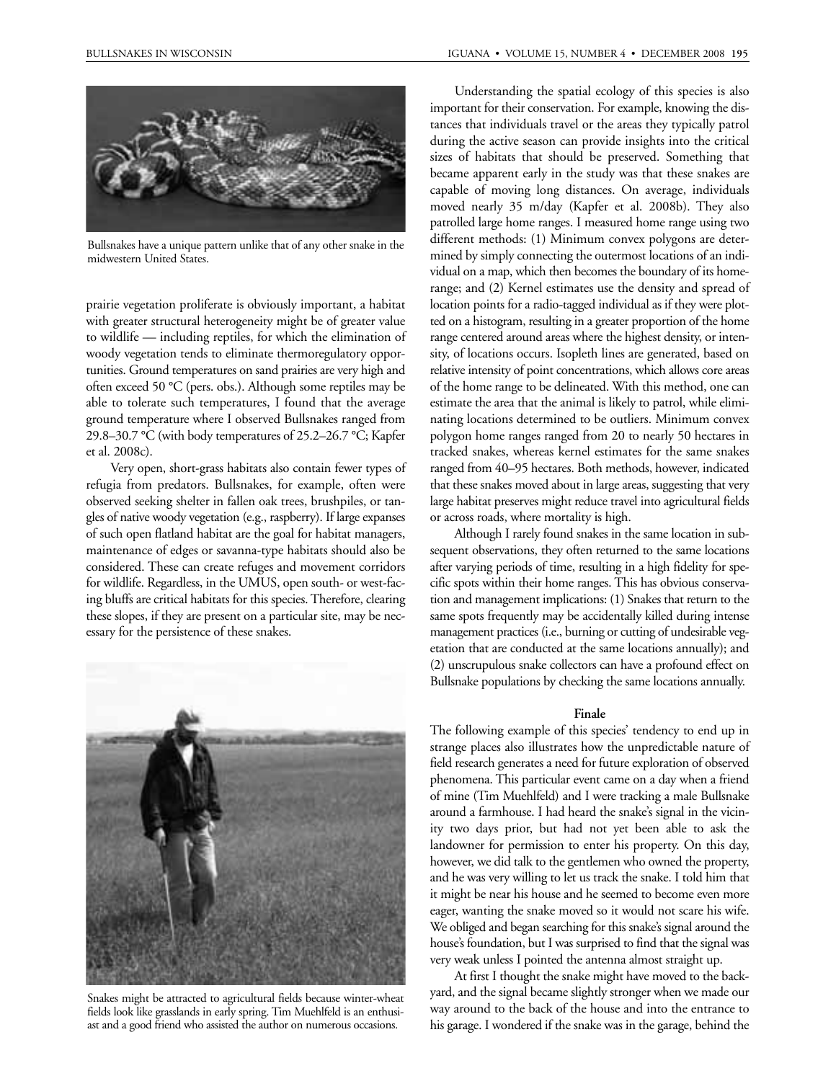

Bullsnakes have a unique pattern unlike that of any other snake in the midwestern United States.

prairie vegetation proliferate is obviously important, a habitat with greater structural heterogeneity might be of greater value to wildlife — including reptiles, for which the elimination of woody vegetation tends to eliminate thermoregulatory opportunities. Ground temperatures on sand prairies are very high and often exceed 50 °C (pers. obs.). Although some reptiles may be able to tolerate such temperatures, I found that the average ground temperature where I observed Bullsnakes ranged from 29.8–30.7 °C (with body temperatures of 25.2–26.7 °C; Kapfer et al. 2008c).

Very open, short-grass habitats also contain fewer types of refugia from predators. Bullsnakes, for example, often were observed seeking shelter in fallen oak trees, brushpiles, or tangles of native woody vegetation (e.g., raspberry). If large expanses of such open flatland habitat are the goal for habitat managers, maintenance of edges or savanna-type habitats should also be considered. These can create refuges and movement corridors for wildlife. Regardless, in the UMUS, open south- or west-facing bluffs are critical habitats for this species. Therefore, clearing these slopes, if they are present on a particular site, may be necessary for the persistence of these snakes.



Snakes might be attracted to agricultural fields because winter-wheat fields look like grasslands in early spring. Tim Muehlfeld is an enthusiast and a good friend who assisted the author on numerous occasions.

Understanding the spatial ecology of this species is also important for their conservation. For example, knowing the distances that individuals travel or the areas they typically patrol during the active season can provide insights into the critical sizes of habitats that should be preserved. Something that became apparent early in the study was that these snakes are capable of moving long distances. On average, individuals moved nearly 35 m/day (Kapfer et al. 2008b). They also patrolled large home ranges. I measured home range using two different methods: (1) Minimum convex polygons are determined by simply connecting the outermost locations of an individual on a map, which then becomes the boundary of its homerange; and (2) Kernel estimates use the density and spread of location points for a radio-tagged individual as if they were plotted on a histogram, resulting in a greater proportion of the home range centered around areas where the highest density, or intensity, of locations occurs. Isopleth lines are generated, based on relative intensity of point concentrations, which allows core areas of the home range to be delineated. With this method, one can estimate the area that the animal is likely to patrol, while eliminating locations determined to be outliers. Minimum convex polygon home ranges ranged from 20 to nearly 50 hectares in tracked snakes, whereas kernel estimates for the same snakes ranged from 40–95 hectares. Both methods, however, indicated that these snakes moved about in large areas, suggesting that very large habitat preserves might reduce travel into agricultural fields or across roads, where mortality is high.

Although I rarely found snakes in the same location in subsequent observations, they often returned to the same locations after varying periods of time, resulting in a high fidelity for specific spots within their home ranges. This has obvious conservation and management implications: (1) Snakes that return to the same spots frequently may be accidentally killed during intense management practices (i.e., burning or cutting of undesirable vegetation that are conducted at the same locations annually); and (2) unscrupulous snake collectors can have a profound effect on Bullsnake populations by checking the same locations annually.

#### **Finale**

The following example of this species' tendency to end up in strange places also illustrates how the unpredictable nature of field research generates a need for future exploration of observed phenomena. This particular event came on a day when a friend of mine (Tim Muehlfeld) and I were tracking a male Bullsnake around a farmhouse. I had heard the snake's signal in the vicinity two days prior, but had not yet been able to ask the landowner for permission to enter his property. On this day, however, we did talk to the gentlemen who owned the property, and he was very willing to let us track the snake. I told him that it might be near his house and he seemed to become even more eager, wanting the snake moved so it would not scare his wife. We obliged and began searching for this snake's signal around the house's foundation, but I was surprised to find that the signal was very weak unless I pointed the antenna almost straight up.

At first I thought the snake might have moved to the backyard, and the signal became slightly stronger when we made our way around to the back of the house and into the entrance to his garage. I wondered if the snake was in the garage, behind the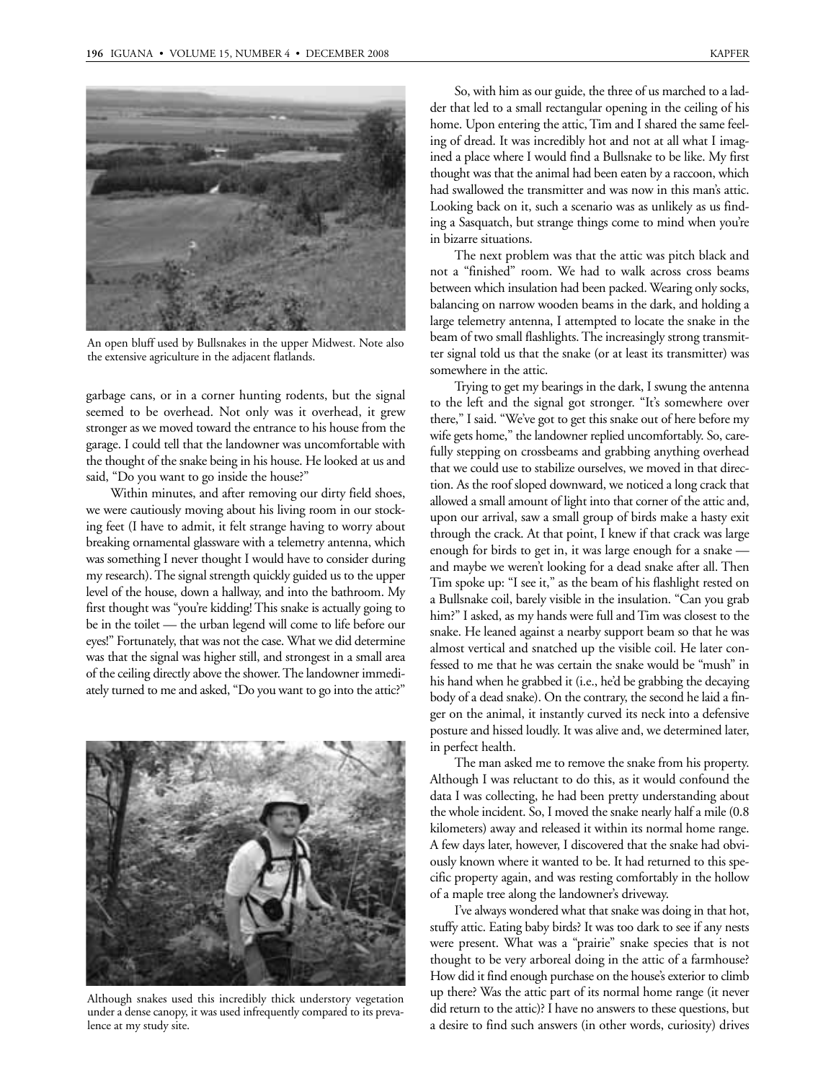

An open bluff used by Bullsnakes in the upper Midwest. Note also the extensive agriculture in the adjacent flatlands.

garbage cans, or in a corner hunting rodents, but the signal seemed to be overhead. Not only was it overhead, it grew stronger as we moved toward the entrance to his house from the garage. I could tell that the landowner was uncomfortable with the thought of the snake being in his house. He looked at us and said, "Do you want to go inside the house?"

Within minutes, and after removing our dirty field shoes, we were cautiously moving about his living room in our stocking feet (I have to admit, it felt strange having to worry about breaking ornamental glassware with a telemetry antenna, which was something I never thought I would have to consider during my research). The signal strength quickly guided us to the upper level of the house, down a hallway, and into the bathroom. My first thought was "you're kidding! This snake is actually going to be in the toilet — the urban legend will come to life before our eyes!" Fortunately, that was not the case. What we did determine was that the signal was higher still, and strongest in a small area of the ceiling directly above the shower. The landowner immediately turned to me and asked, "Do you want to go into the attic?"



Although snakes used this incredibly thick understory vegetation under a dense canopy, it was used infrequently compared to its prevalence at my study site.

So, with him as our guide, the three of us marched to a ladder that led to a small rectangular opening in the ceiling of his home. Upon entering the attic, Tim and I shared the same feeling of dread. It was incredibly hot and not at all what I imagined a place where I would find a Bullsnake to be like. My first thought was that the animal had been eaten by a raccoon, which had swallowed the transmitter and was now in this man's attic. Looking back on it, such a scenario was as unlikely as us finding a Sasquatch, but strange things come to mind when you're in bizarre situations.

The next problem was that the attic was pitch black and not a "finished" room. We had to walk across cross beams between which insulation had been packed. Wearing only socks, balancing on narrow wooden beams in the dark, and holding a large telemetry antenna, I attempted to locate the snake in the beam of two small flashlights. The increasingly strong transmitter signal told us that the snake (or at least its transmitter) was somewhere in the attic.

Trying to get my bearings in the dark, I swung the antenna to the left and the signal got stronger. "It's somewhere over there," I said. "We've got to get this snake out of here before my wife gets home," the landowner replied uncomfortably. So, carefully stepping on crossbeams and grabbing anything overhead that we could use to stabilize ourselves, we moved in that direction. As the roof sloped downward, we noticed a long crack that allowed a small amount of light into that corner of the attic and, upon our arrival, saw a small group of birds make a hasty exit through the crack. At that point, I knew if that crack was large enough for birds to get in, it was large enough for a snake and maybe we weren't looking for a dead snake after all. Then Tim spoke up: "I see it," as the beam of his flashlight rested on a Bullsnake coil, barely visible in the insulation. "Can you grab him?" I asked, as my hands were full and Tim was closest to the snake. He leaned against a nearby support beam so that he was almost vertical and snatched up the visible coil. He later confessed to me that he was certain the snake would be "mush" in his hand when he grabbed it (i.e., he'd be grabbing the decaying body of a dead snake). On the contrary, the second he laid a finger on the animal, it instantly curved its neck into a defensive posture and hissed loudly. It was alive and, we determined later, in perfect health.

The man asked me to remove the snake from his property. Although I was reluctant to do this, as it would confound the data I was collecting, he had been pretty understanding about the whole incident. So, I moved the snake nearly half a mile (0.8 kilometers) away and released it within its normal home range. A few days later, however, I discovered that the snake had obviously known where it wanted to be. It had returned to this specific property again, and was resting comfortably in the hollow of a maple tree along the landowner's driveway.

I've always wondered what that snake was doing in that hot, stuffy attic. Eating baby birds? It was too dark to see if any nests were present. What was a "prairie" snake species that is not thought to be very arboreal doing in the attic of a farmhouse? How did it find enough purchase on the house's exterior to climb up there? Was the attic part of its normal home range (it never did return to the attic)? I have no answers to these questions, but a desire to find such answers (in other words, curiosity) drives